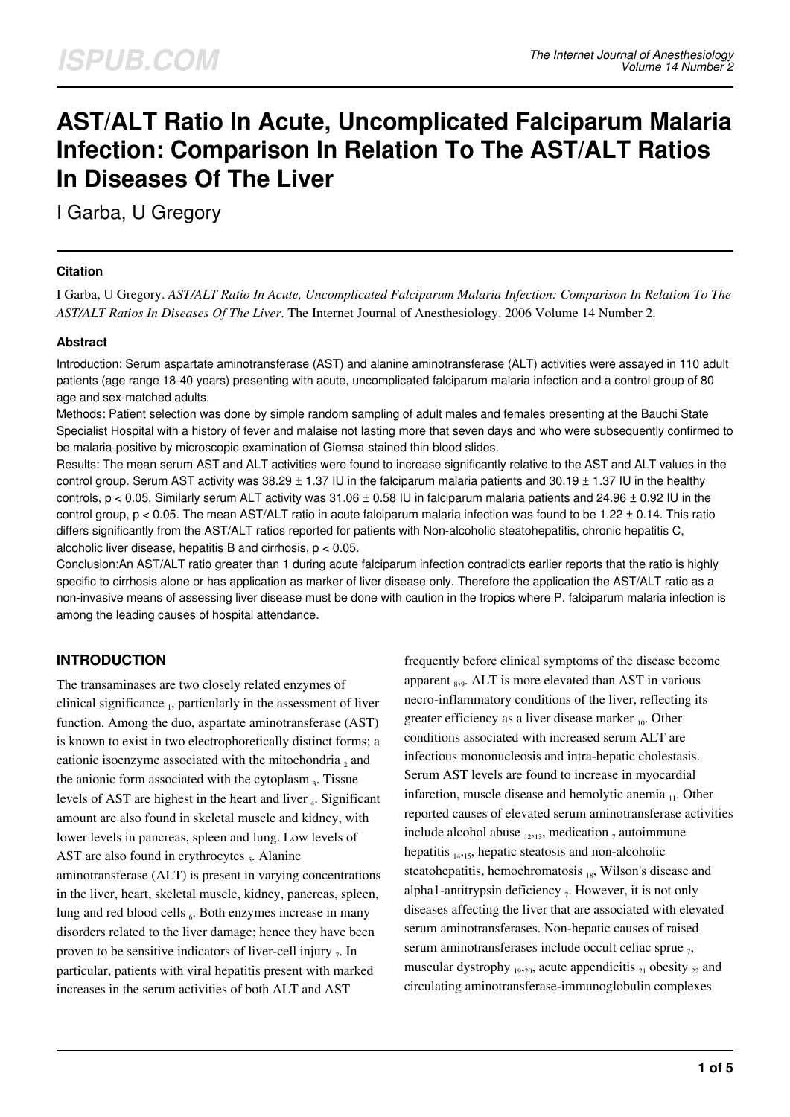# **AST/ALT Ratio In Acute, Uncomplicated Falciparum Malaria Infection: Comparison In Relation To The AST/ALT Ratios In Diseases Of The Liver**

I Garba, U Gregory

#### **Citation**

I Garba, U Gregory. *AST/ALT Ratio In Acute, Uncomplicated Falciparum Malaria Infection: Comparison In Relation To The AST/ALT Ratios In Diseases Of The Liver*. The Internet Journal of Anesthesiology. 2006 Volume 14 Number 2.

### **Abstract**

Introduction: Serum aspartate aminotransferase (AST) and alanine aminotransferase (ALT) activities were assayed in 110 adult patients (age range 18-40 years) presenting with acute, uncomplicated falciparum malaria infection and a control group of 80 age and sex-matched adults.

Methods: Patient selection was done by simple random sampling of adult males and females presenting at the Bauchi State Specialist Hospital with a history of fever and malaise not lasting more that seven days and who were subsequently confirmed to be malaria-positive by microscopic examination of Giemsa-stained thin blood slides.

Results: The mean serum AST and ALT activities were found to increase significantly relative to the AST and ALT values in the control group. Serum AST activity was  $38.29 \pm 1.37$  IU in the falciparum malaria patients and  $30.19 \pm 1.37$  IU in the healthy controls,  $p < 0.05$ . Similarly serum ALT activity was 31.06  $\pm$  0.58 IU in falciparum malaria patients and 24.96  $\pm$  0.92 IU in the control group,  $p < 0.05$ . The mean AST/ALT ratio in acute falciparum malaria infection was found to be 1.22  $\pm$  0.14. This ratio differs significantly from the AST/ALT ratios reported for patients with Non-alcoholic steatohepatitis, chronic hepatitis C, alcoholic liver disease, hepatitis B and cirrhosis, p < 0.05.

Conclusion:An AST/ALT ratio greater than 1 during acute falciparum infection contradicts earlier reports that the ratio is highly specific to cirrhosis alone or has application as marker of liver disease only. Therefore the application the AST/ALT ratio as a non-invasive means of assessing liver disease must be done with caution in the tropics where P. falciparum malaria infection is among the leading causes of hospital attendance.

## **INTRODUCTION**

The transaminases are two closely related enzymes of clinical significance <sub>1</sub>, particularly in the assessment of liver function. Among the duo, aspartate aminotransferase (AST) is known to exist in two electrophoretically distinct forms; a cationic isoenzyme associated with the mitochondria  $_2$  and the anionic form associated with the cytoplasm  $_3$ . Tissue levels of AST are highest in the heart and liver <sub>4</sub>. Significant amount are also found in skeletal muscle and kidney, with lower levels in pancreas, spleen and lung. Low levels of AST are also found in erythrocytes <sub>5</sub>. Alanine aminotransferase (ALT) is present in varying concentrations in the liver, heart, skeletal muscle, kidney, pancreas, spleen, lung and red blood cells 6. Both enzymes increase in many disorders related to the liver damage; hence they have been proven to be sensitive indicators of liver-cell injury  $_7$ . In particular, patients with viral hepatitis present with marked increases in the serum activities of both ALT and AST

frequently before clinical symptoms of the disease become apparent  $_{8,9}$ . ALT is more elevated than AST in various necro-inflammatory conditions of the liver, reflecting its greater efficiency as a liver disease marker  $_{10}$ . Other conditions associated with increased serum ALT are infectious mononucleosis and intra-hepatic cholestasis. Serum AST levels are found to increase in myocardial infarction, muscle disease and hemolytic anemia  $_{11}$ . Other reported causes of elevated serum aminotransferase activities include alcohol abuse  $_{12,13}$ , medication  $_7$  autoimmune hepatitis  $_{14,15}$ , hepatic steatosis and non-alcoholic steatohepatitis, hemochromatosis  $_{18}$ , Wilson's disease and alpha1-antitrypsin deficiency  $_7$ . However, it is not only diseases affecting the liver that are associated with elevated serum aminotransferases. Non-hepatic causes of raised serum aminotransferases include occult celiac sprue  $_7$ , muscular dystrophy  $_{19,20}$ , acute appendicitis  $_{21}$  obesity  $_{22}$  and circulating aminotransferase-immunoglobulin complexes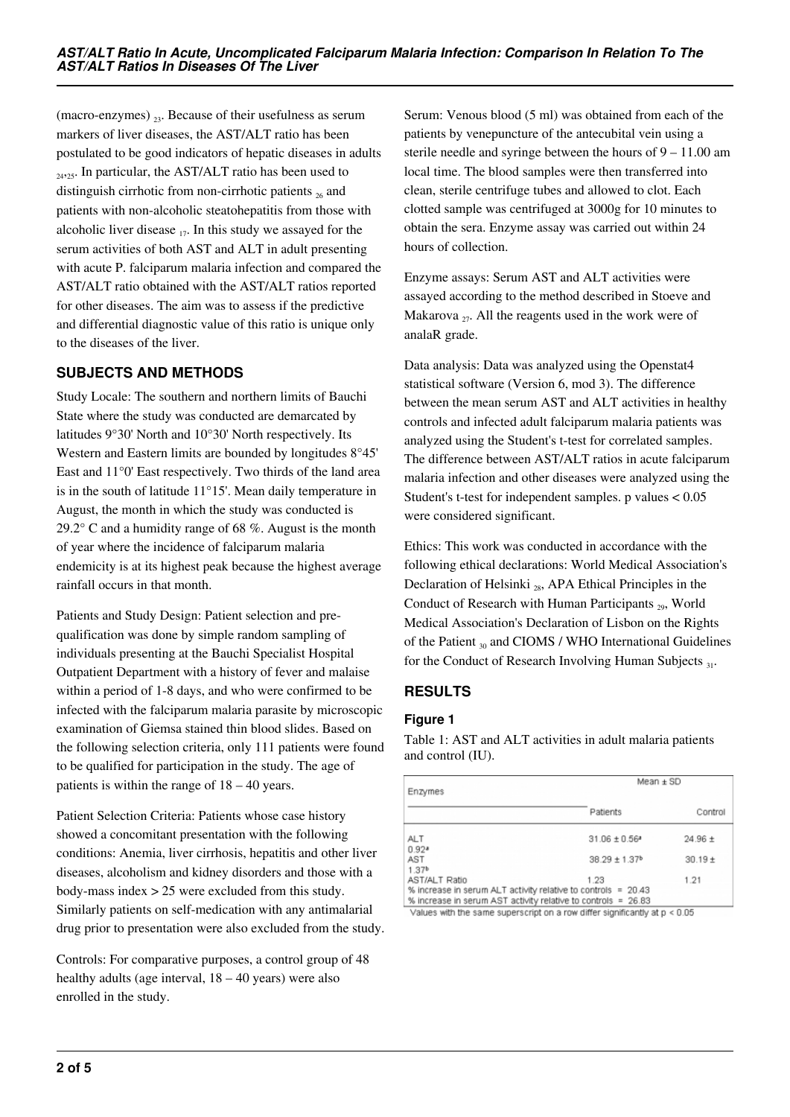(macro-enzymes)  $_{23}$ . Because of their usefulness as serum markers of liver diseases, the AST/ALT ratio has been postulated to be good indicators of hepatic diseases in adults  $_{2425}$ . In particular, the AST/ALT ratio has been used to distinguish cirrhotic from non-cirrhotic patients  $_{26}$  and patients with non-alcoholic steatohepatitis from those with alcoholic liver disease  $_{17}$ . In this study we assayed for the serum activities of both AST and ALT in adult presenting with acute P. falciparum malaria infection and compared the AST/ALT ratio obtained with the AST/ALT ratios reported for other diseases. The aim was to assess if the predictive and differential diagnostic value of this ratio is unique only to the diseases of the liver.

# **SUBJECTS AND METHODS**

Study Locale: The southern and northern limits of Bauchi State where the study was conducted are demarcated by latitudes 9°30' North and 10°30' North respectively. Its Western and Eastern limits are bounded by longitudes 8°45' East and 11°0' East respectively. Two thirds of the land area is in the south of latitude 11°15'. Mean daily temperature in August, the month in which the study was conducted is 29.2° C and a humidity range of 68 %. August is the month of year where the incidence of falciparum malaria endemicity is at its highest peak because the highest average rainfall occurs in that month.

Patients and Study Design: Patient selection and prequalification was done by simple random sampling of individuals presenting at the Bauchi Specialist Hospital Outpatient Department with a history of fever and malaise within a period of 1-8 days, and who were confirmed to be infected with the falciparum malaria parasite by microscopic examination of Giemsa stained thin blood slides. Based on the following selection criteria, only 111 patients were found to be qualified for participation in the study. The age of patients is within the range of 18 – 40 years.

Patient Selection Criteria: Patients whose case history showed a concomitant presentation with the following conditions: Anemia, liver cirrhosis, hepatitis and other liver diseases, alcoholism and kidney disorders and those with a body-mass index > 25 were excluded from this study. Similarly patients on self-medication with any antimalarial drug prior to presentation were also excluded from the study.

Controls: For comparative purposes, a control group of 48 healthy adults (age interval,  $18 - 40$  years) were also enrolled in the study.

Serum: Venous blood (5 ml) was obtained from each of the patients by venepuncture of the antecubital vein using a sterile needle and syringe between the hours of  $9 - 11.00$  am local time. The blood samples were then transferred into clean, sterile centrifuge tubes and allowed to clot. Each clotted sample was centrifuged at 3000g for 10 minutes to obtain the sera. Enzyme assay was carried out within 24 hours of collection.

Enzyme assays: Serum AST and ALT activities were assayed according to the method described in Stoeve and Makarova  $_{27}$ . All the reagents used in the work were of analaR grade.

Data analysis: Data was analyzed using the Openstat4 statistical software (Version 6, mod 3). The difference between the mean serum AST and ALT activities in healthy controls and infected adult falciparum malaria patients was analyzed using the Student's t-test for correlated samples. The difference between AST/ALT ratios in acute falciparum malaria infection and other diseases were analyzed using the Student's t-test for independent samples. p values < 0.05 were considered significant.

Ethics: This work was conducted in accordance with the following ethical declarations: World Medical Association's Declaration of Helsinki  $_{28}$ , APA Ethical Principles in the Conduct of Research with Human Participants  $_{29}$ , World Medical Association's Declaration of Lisbon on the Rights of the Patient  $_{30}$  and CIOMS / WHO International Guidelines for the Conduct of Research Involving Human Subjects  $_{31}$ .

# **RESULTS**

## **Figure 1**

Table 1: AST and ALT activities in adult malaria patients and control (IU).

| Patients                                                      | Control                                                                                                      |
|---------------------------------------------------------------|--------------------------------------------------------------------------------------------------------------|
|                                                               |                                                                                                              |
| $31.06 \pm 0.56$ <sup>a</sup>                                 | $24.96 +$                                                                                                    |
|                                                               | $30.19 +$                                                                                                    |
|                                                               |                                                                                                              |
| 1.23                                                          | 1.21                                                                                                         |
| % increase in serum ALT activity relative to controls = 20.43 |                                                                                                              |
| % increase in serum AST activity relative to controls = 26.83 |                                                                                                              |
|                                                               | $38.29 \pm 1.37$ <sup>b</sup><br>Values with the came cuneractint on a row differ cionificantly at n z 0.05. |

Values with the same superscript on a row differ significantly at  $p < 0.05$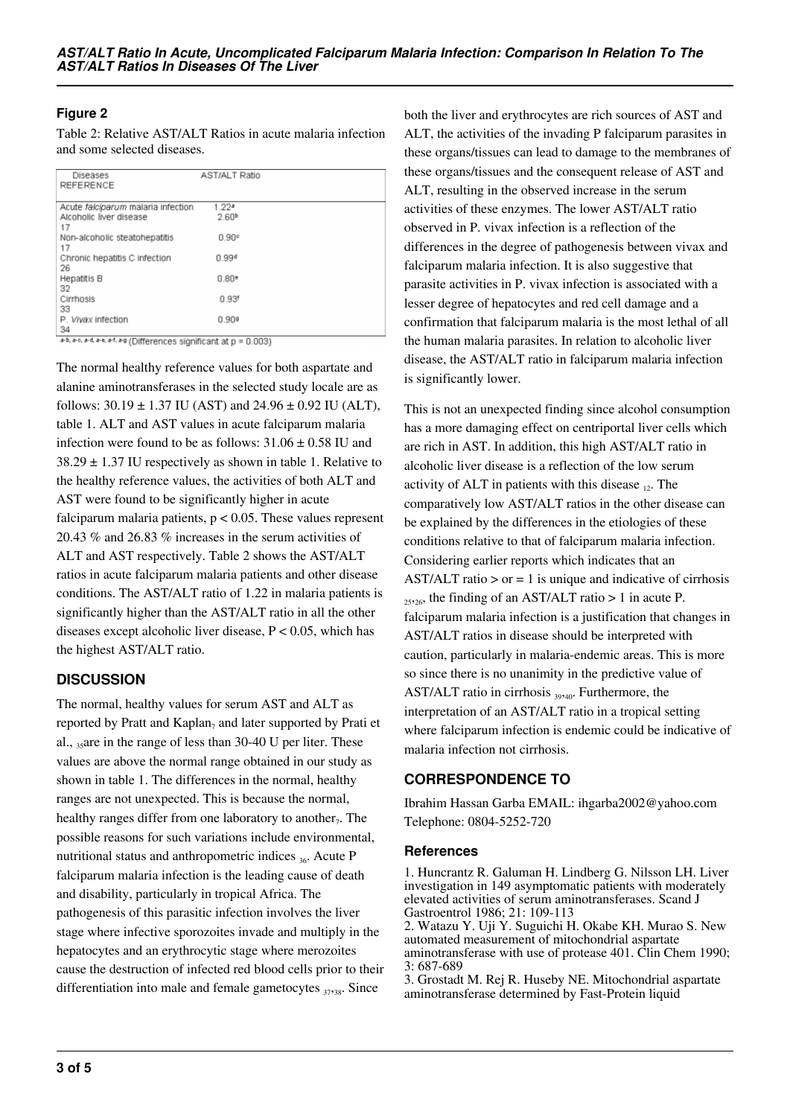## **Figure 2**

Table 2: Relative AST/ALT Ratios in acute malaria infection and some selected diseases.

| Diseases<br>REFERENCE                                               | AST/ALT Ratio     |  |
|---------------------------------------------------------------------|-------------------|--|
| Acute falcioarum malaria infection                                  | 1.22a             |  |
| Alcoholic liver disease<br>17                                       | 2.60 <sup>b</sup> |  |
| Non-alcoholic steatohepatitis<br>17                                 | $0.90^\circ$      |  |
| Chronic hepatitis C infection<br>26                                 | 0.99 <sup>d</sup> |  |
| <b>Hepatitis B</b><br>32                                            | $0.80*$           |  |
| Cirrhosis<br>33                                                     | 0.93 <sup>t</sup> |  |
| P. Wyax infection<br>34                                             | $0.90$ *          |  |
| a-b, a-c, a-d, a-e, a-f, a-g (Differences significant at p = 0.003) |                   |  |

The normal healthy reference values for both aspartate and alanine aminotransferases in the selected study locale are as follows:  $30.19 \pm 1.37$  IU (AST) and  $24.96 \pm 0.92$  IU (ALT), table 1. ALT and AST values in acute falciparum malaria infection were found to be as follows:  $31.06 \pm 0.58$  IU and  $38.29 \pm 1.37$  IU respectively as shown in table 1. Relative to the healthy reference values, the activities of both ALT and AST were found to be significantly higher in acute falciparum malaria patients,  $p < 0.05$ . These values represent 20.43 % and 26.83 % increases in the serum activities of ALT and AST respectively. Table 2 shows the AST/ALT ratios in acute falciparum malaria patients and other disease conditions. The AST/ALT ratio of 1.22 in malaria patients is significantly higher than the AST/ALT ratio in all the other diseases except alcoholic liver disease, P < 0.05, which has the highest AST/ALT ratio.

## **DISCUSSION**

The normal, healthy values for serum AST and ALT as reported by Pratt and  $Kaplan_7$  and later supported by Prati et al., 35are in the range of less than 30-40 U per liter. These values are above the normal range obtained in our study as shown in table 1. The differences in the normal, healthy ranges are not unexpected. This is because the normal, healthy ranges differ from one laboratory to another $_7$ . The possible reasons for such variations include environmental, nutritional status and anthropometric indices  $_{36}$ . Acute P falciparum malaria infection is the leading cause of death and disability, particularly in tropical Africa. The pathogenesis of this parasitic infection involves the liver stage where infective sporozoites invade and multiply in the hepatocytes and an erythrocytic stage where merozoites cause the destruction of infected red blood cells prior to their differentiation into male and female gametocytes  $_{37,38}$ . Since

both the liver and erythrocytes are rich sources of AST and ALT, the activities of the invading P falciparum parasites in these organs/tissues can lead to damage to the membranes of these organs/tissues and the consequent release of AST and ALT, resulting in the observed increase in the serum activities of these enzymes. The lower AST/ALT ratio observed in P. vivax infection is a reflection of the differences in the degree of pathogenesis between vivax and falciparum malaria infection. It is also suggestive that parasite activities in P. vivax infection is associated with a lesser degree of hepatocytes and red cell damage and a confirmation that falciparum malaria is the most lethal of all the human malaria parasites. In relation to alcoholic liver disease, the AST/ALT ratio in falciparum malaria infection is significantly lower.

This is not an unexpected finding since alcohol consumption has a more damaging effect on centriportal liver cells which are rich in AST. In addition, this high AST/ALT ratio in alcoholic liver disease is a reflection of the low serum activity of ALT in patients with this disease  $_{12}$ . The comparatively low AST/ALT ratios in the other disease can be explained by the differences in the etiologies of these conditions relative to that of falciparum malaria infection. Considering earlier reports which indicates that an AST/ALT ratio  $>$  or  $=$  1 is unique and indicative of cirrhosis  $_{25,26}$ , the finding of an AST/ALT ratio > 1 in acute P. falciparum malaria infection is a justification that changes in AST/ALT ratios in disease should be interpreted with caution, particularly in malaria-endemic areas. This is more so since there is no unanimity in the predictive value of AST/ALT ratio in cirrhosis  $_{39,40}$ . Furthermore, the interpretation of an AST/ALT ratio in a tropical setting where falciparum infection is endemic could be indicative of malaria infection not cirrhosis.

## **CORRESPONDENCE TO**

Ibrahim Hassan Garba EMAIL: ihgarba2002@yahoo.com Telephone: 0804-5252-720

#### **References**

1. Huncrantz R. Galuman H. Lindberg G. Nilsson LH. Liver investigation in 149 asymptomatic patients with moderately elevated activities of serum aminotransferases. Scand J Gastroentrol 1986; 21: 109-113

2. Watazu Y. Uji Y. Suguichi H. Okabe KH. Murao S. New automated measurement of mitochondrial aspartate aminotransferase with use of protease 401. Clin Chem 1990; 3: 687-689

3. Grostadt M. Rej R. Huseby NE. Mitochondrial aspartate aminotransferase determined by Fast-Protein liquid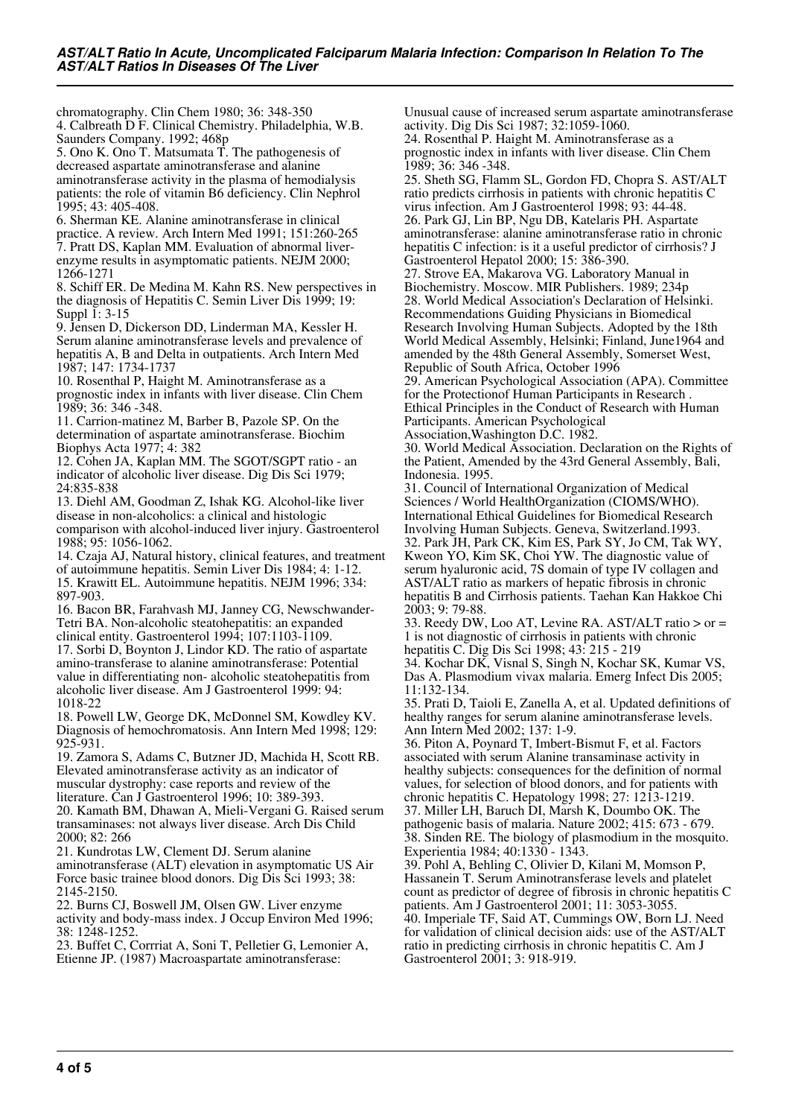chromatography. Clin Chem 1980; 36: 348-350 4. Calbreath D F. Clinical Chemistry. Philadelphia, W.B. Saunders Company. 1992; 468p

5. Ono K. Ono T. Matsumata T. The pathogenesis of decreased aspartate aminotransferase and alanine aminotransferase activity in the plasma of hemodialysis patients: the role of vitamin B6 deficiency. Clin Nephrol 1995; 43: 405-408.

6. Sherman KE. Alanine aminotransferase in clinical practice. A review. Arch Intern Med 1991; 151:260-265 7. Pratt DS, Kaplan MM. Evaluation of abnormal liverenzyme results in asymptomatic patients. NEJM 2000; 1266-1271

8. Schiff ER. De Medina M. Kahn RS. New perspectives in the diagnosis of Hepatitis C. Semin Liver Dis 1999; 19: Suppl 1: 3-15

9. Jensen D, Dickerson DD, Linderman MA, Kessler H. Serum alanine aminotransferase levels and prevalence of hepatitis A, B and Delta in outpatients. Arch Intern Med 1987; 147: 1734-1737

10. Rosenthal P, Haight M. Aminotransferase as a prognostic index in infants with liver disease. Clin Chem 1989; 36: 346 -348.

11. Carrion-matinez M, Barber B, Pazole SP. On the determination of aspartate aminotransferase. Biochim Biophys Acta 1977; 4: 382

12. Cohen JA, Kaplan MM. The SGOT/SGPT ratio - an indicator of alcoholic liver disease. Dig Dis Sci 1979; 24:835-838

13. Diehl AM, Goodman Z, Ishak KG. Alcohol-like liver disease in non-alcoholics: a clinical and histologic comparison with alcohol-induced liver injury. Gastroenterol 1988; 95: 1056-1062.

14. Czaja AJ, Natural history, clinical features, and treatment of autoimmune hepatitis. Semin Liver Dis 1984; 4: 1-12. 15. Krawitt EL. Autoimmune hepatitis. NEJM 1996; 334: 897-903.

16. Bacon BR, Farahvash MJ, Janney CG, Newschwander-Tetri BA. Non-alcoholic steatohepatitis: an expanded clinical entity. Gastroenterol 1994; 107:1103-1109.

17. Sorbi D, Boynton J, Lindor KD. The ratio of aspartate amino-transferase to alanine aminotransferase: Potential value in differentiating non- alcoholic steatohepatitis from alcoholic liver disease. Am J Gastroenterol 1999: 94: 1018-22

18. Powell LW, George DK, McDonnel SM, Kowdley KV. Diagnosis of hemochromatosis. Ann Intern Med 1998; 129: 925-931.

19. Zamora S, Adams C, Butzner JD, Machida H, Scott RB. Elevated aminotransferase activity as an indicator of muscular dystrophy: case reports and review of the literature. Can J Gastroenterol 1996; 10: 389-393.

20. Kamath BM, Dhawan A, Mieli-Vergani G. Raised serum transaminases: not always liver disease. Arch Dis Child 2000; 82: 266

21. Kundrotas LW, Clement DJ. Serum alanine aminotransferase (ALT) elevation in asymptomatic US Air Force basic trainee blood donors. Dig Dis Sci 1993; 38: 2145-2150.

22. Burns CJ, Boswell JM, Olsen GW. Liver enzyme activity and body-mass index. J Occup Environ Med 1996; 38: 1248-1252.

23. Buffet C, Corrriat A, Soni T, Pelletier G, Lemonier A, Etienne JP. (1987) Macroaspartate aminotransferase:

Unusual cause of increased serum aspartate aminotransferase activity. Dig Dis Sci 1987; 32:1059-1060.

24. Rosenthal P. Haight M. Aminotransferase as a prognostic index in infants with liver disease. Clin Chem 1989; 36: 346 -348.

25. Sheth SG, Flamm SL, Gordon FD, Chopra S. AST/ALT ratio predicts cirrhosis in patients with chronic hepatitis C virus infection. Am J Gastroenterol 1998; 93: 44-48. 26. Park GJ, Lin BP, Ngu DB, Katelaris PH. Aspartate aminotransferase: alanine aminotransferase ratio in chronic hepatitis C infection: is it a useful predictor of cirrhosis? J Gastroenterol Hepatol 2000; 15: 386-390.

27. Strove EA, Makarova VG. Laboratory Manual in Biochemistry. Moscow. MIR Publishers. 1989; 234p 28. World Medical Association's Declaration of Helsinki. Recommendations Guiding Physicians in Biomedical Research Involving Human Subjects. Adopted by the 18th World Medical Assembly, Helsinki; Finland, June1964 and amended by the 48th General Assembly, Somerset West, Republic of South Africa, October 1996

29. American Psychological Association (APA). Committee for the Protectionof Human Participants in Research . Ethical Principles in the Conduct of Research with Human Participants. American Psychological

Association,Washington D.C. 1982.

30. World Medical Association. Declaration on the Rights of the Patient, Amended by the 43rd General Assembly, Bali, Indonesia. 1995.

31. Council of International Organization of Medical Sciences / World HealthOrganization (CIOMS/WHO). International Ethical Guidelines for Biomedical Research Involving Human Subjects. Geneva, Switzerland.1993. 32. Park JH, Park CK, Kim ES, Park SY, Jo CM, Tak WY, Kweon YO, Kim SK, Choi YW. The diagnostic value of serum hyaluronic acid, 7S domain of type IV collagen and AST/ALT ratio as markers of hepatic fibrosis in chronic hepatitis B and Cirrhosis patients. Taehan Kan Hakkoe Chi 2003; 9: 79-88.

33. Reedy DW, Loo AT, Levine RA. AST/ALT ratio > or = 1 is not diagnostic of cirrhosis in patients with chronic hepatitis C. Dig Dis Sci 1998; 43: 215 - 219

34. Kochar DK, Visnal S, Singh N, Kochar SK, Kumar VS, Das A. Plasmodium vivax malaria. Emerg Infect Dis 2005; 11:132-134.

35. Prati D, Taioli E, Zanella A, et al. Updated definitions of healthy ranges for serum alanine aminotransferase levels. Ann Intern Med 2002; 137: 1-9.

36. Piton A, Poynard T, Imbert-Bismut F, et al. Factors associated with serum Alanine transaminase activity in healthy subjects: consequences for the definition of normal values, for selection of blood donors, and for patients with chronic hepatitis C. Hepatology 1998; 27: 1213-1219.

37. Miller LH, Baruch DI, Marsh K, Doumbo OK. The pathogenic basis of malaria. Nature 2002; 415: 673 - 679. 38. Sinden RE. The biology of plasmodium in the mosquito. Experientia 1984; 40:1330 - 1343.

39. Pohl A, Behling C, Olivier D, Kilani M, Momson P, Hassanein T. Serum Aminotransferase levels and platelet count as predictor of degree of fibrosis in chronic hepatitis C patients. Am J Gastroenterol 2001; 11: 3053-3055.

40. Imperiale TF, Said AT, Cummings OW, Born LJ. Need for validation of clinical decision aids: use of the AST/ALT ratio in predicting cirrhosis in chronic hepatitis C. Am J Gastroenterol 2001; 3: 918-919.